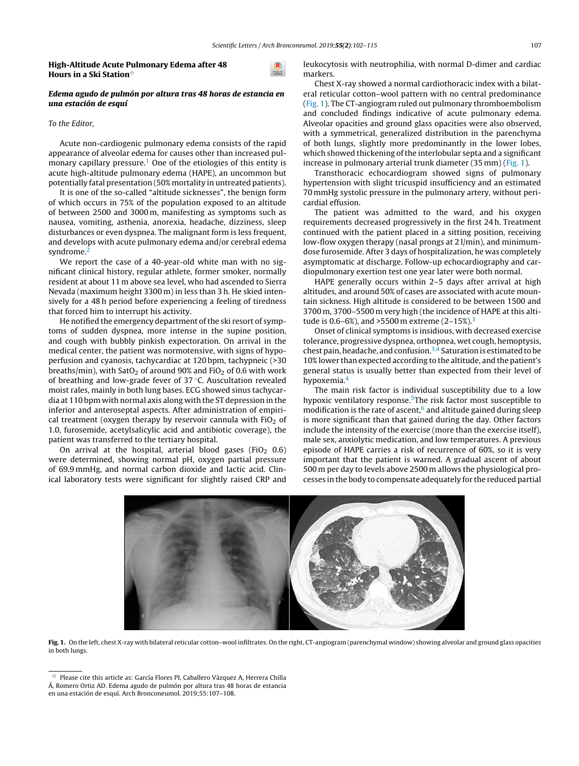### High-Altitude Acute Pulmonary Edema after 48 Hours in a Ski Station $^{\scriptscriptstyle\mathrm{th}}$

# Edema agudo de pulmón por altura tras 48 horas de estancia en una estación de esquí

# To the Editor,

Acute non-cardiogenic pulmonary edema consists of the rapid appearance of alveolar edema for causes other than increased pul-monary capillary pressure.<sup>[1](#page-1-0)</sup> One of the etiologies of this entity is acute high-altitude pulmonary edema (HAPE), an uncommon but potentially fatal presentation (50% mortality in untreated patients).

It is one of the so-called "altitude sicknesses", the benign form of which occurs in 75% of the population exposed to an [altitu](http://crossmark.crossref.org/dialog/?doi=10.1016/j.arbr.2018.12.003&domain=pdf)de of between 2500 and 3000 m, manifesting as symptoms such as nausea, vomiting, asthenia, anorexia, headache, dizziness, sleep disturbances or even dyspnea. The malignant form is less frequent, and develops with acute pulmonary edema and/or cerebral edema syndrome.<sup>[2](#page-1-0)</sup>

We report the case of a 40-year-old white man with no significant clinical history, regular athlete, former smoker, normally resident at about 11 m above sea level, who had ascended to Sierra Nevada (maximum height 3300 m) in less than 3 h. He skied intensively for a 48 h period before experiencing a feeling of tiredness that forced him to interrupt his activity.

He notified the emergency department of the ski resort of symptoms of sudden dyspnea, more intense in the supine position, and cough with bubbly [pinkish](dx.doi.org/10.1016/j.eimc.2017.10.006) expectoration. On arrival in the medical center, the patient was normotensive, with signs of hypoperfusion and cyanosis, tachycardiac at 120 bpm, tachypneic (>30 breaths/min), with SatO<sub>2</sub> of around 90% and FiO<sub>2</sub> of 0.6 with work of breathing and low-grade fever of 37 ◦C. Auscultation revealed moist rales, mainly in both lung bases. ECG showed sinus tachycardia at 110 bpm with normal axis along with the ST depression in [the](http://crossmark.crossref.org/dialog/?doi=10.1016/j.arbr.2018.12.003&domain=pdf) inferior and anteroseptal aspects. After administration of empirical treatment (oxygen therapy by reservoir cannula with  $FiO<sub>2</sub>$  of 1.0, furosemide, acetylsalicylic acid and antibiotic coverage), the patient was transferred to the tertiary [hospital.](http://dx.doi.org/10.1016/j.arbres.2018.03.010)

On arrival at the hospital, arterial blood gases (FiO<sub>2</sub> 0.6) were determined, showing normal pH, oxygen partial pressure of 69.9 mmHg, and normal carbon dioxide and lactic acid. Clinical laboratory tests were significant for slightly raised CRP and leukocytosis with neutrophilia, with normal D-dimer and cardiac markers.

Chest X-ray showed a normal [cardiothoracic](http://revista.isciii.es/index.php/bes/article/view/961) index with a bilateral reticular cotton–wool pattern with no central predominance (Fig. 1). The CT-angiogram ruled out pulmonary thromboembolism and concluded findings indicative of acute pulmonary edema. [Alveolar](http://www.archbronconeumol.org) opacities and ground glass opacities were also observed, with a symmetrical, generalized distribution in the parenchyma of both lungs, slightly more predominantly in the lower lobes, which showed thickening of the interlobular septa and a significant increase in pulmonary arterial trunk diameter (35 mm) (Fig. 1).

Transthoracic echocardiogram showed signs of pulmonary hypertension with slight tricuspid insufficiency and an estimated 70 mmHg systolic pressure in the pulmonary artery, without pericardial effusion.

The patient was admitted to the ward, and his oxygen requirements decreased progressively in the first 24 h. Treatment continued with the patient placed in a sitting position, receiving low-flow oxygen therapy (nasal prongs at 2 l/min), and minimumdose furosemide. After 3 days of hospitalization, he was completely asymptomatic at discharge. Follow-up echocardiography and cardiopulmonary exertion test one year later were both normal.

HAPE generally occurs within 2–5 days after arrival at high altitudes, and around 50% of cases are associated with acute mountain sickness. High altitude is [considered](mailto:c_trasancos@hotmail.com) to be between 1500 and 3700 m, 3700–5500 m very high (the incidence of HAPE at this altitude is 0.6–6%), and >5500 m extreme  $(2-15%)$ .<sup>[3](#page-1-0)</sup>

Onset of clinical symptoms is insidious, with decreased exercise tolerance, progressive dyspnea, orthopnea, wet cough, hemoptysis, chest pain, headache, and confusion.<sup>[3,4](#page-1-0)</sup> Saturation is estimated to be 10% lower than expected according to the altitude, and the patient's general status is usually better than expected from their level of hypoxemia.[4](#page-1-0)

The main risk factor is individual susceptibility due to a low hypoxic [ventilatory](dx.doi.org/10.1183/13993003.00889-2017) response.<sup>5</sup>[Th](#page-1-0)e risk factor most susceptible to modific[a](#page-1-0)tion is the rate of ascent, $6$  and altitude gained during sleep is more significant than that gained during the day. Other factors include the intensity of the exercise (more than the exercise itself), male sex, anxiolytic medication, and low temperatures. A previous episode of HAPE carries a risk of recurrence of 60%, so it is very important that the patient is warned. A gradual ascent of about 500 m per day to levels above 2500 m allows the physiological processes in the body to compensate adequately for the reduced partial



Fig. 1. On the left, chest X-ray with bilateral reticular cotton-wool infiltrates. On the right, CT-angiogram (parenchymal window) showing alveolar and ground glass opacities in both lungs.

 $^\star$  Please cite this article as: García Flores PI, Caballero Vázquez A, Herrera Chilla Á, Romero Ortiz AD. Edema agudo de pulmón por altura tras 48 horas de estancia

en una estación de esquí. Arch Bronconeumol. 2019;55:107–108.